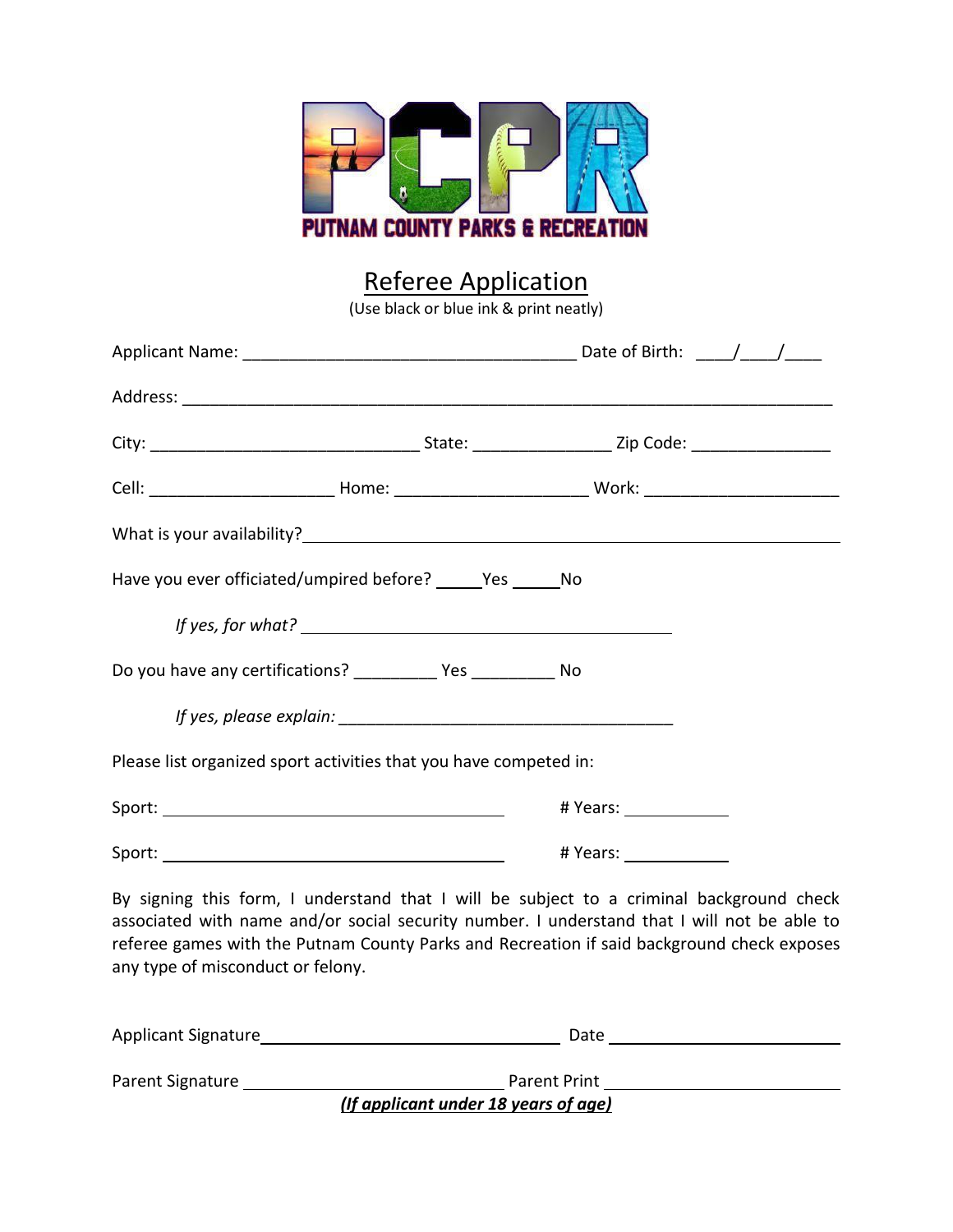

## Referee Application

(Use black or blue ink & print neatly)

| Have you ever officiated/umpired before? _______ Yes _______ No                                                                                                                                                                                                                                                            |                   |                          |  |  |
|----------------------------------------------------------------------------------------------------------------------------------------------------------------------------------------------------------------------------------------------------------------------------------------------------------------------------|-------------------|--------------------------|--|--|
|                                                                                                                                                                                                                                                                                                                            | If yes, for what? |                          |  |  |
| Do you have any certifications? ____________ Yes ___________ No                                                                                                                                                                                                                                                            |                   |                          |  |  |
|                                                                                                                                                                                                                                                                                                                            |                   |                          |  |  |
| Please list organized sport activities that you have competed in:                                                                                                                                                                                                                                                          |                   |                          |  |  |
|                                                                                                                                                                                                                                                                                                                            |                   | #Years: 1997             |  |  |
|                                                                                                                                                                                                                                                                                                                            |                   | # Years: _______________ |  |  |
| By signing this form, I understand that I will be subject to a criminal background check<br>associated with name and/or social security number. I understand that I will not be able to<br>referee games with the Putnam County Parks and Recreation if said background check exposes<br>any type of misconduct or felony. |                   |                          |  |  |

| Applicant Signature | Date                                 |  |
|---------------------|--------------------------------------|--|
|                     |                                      |  |
| Parent Signature    | <b>Parent Print</b>                  |  |
|                     | (If applicant under 18 years of age) |  |